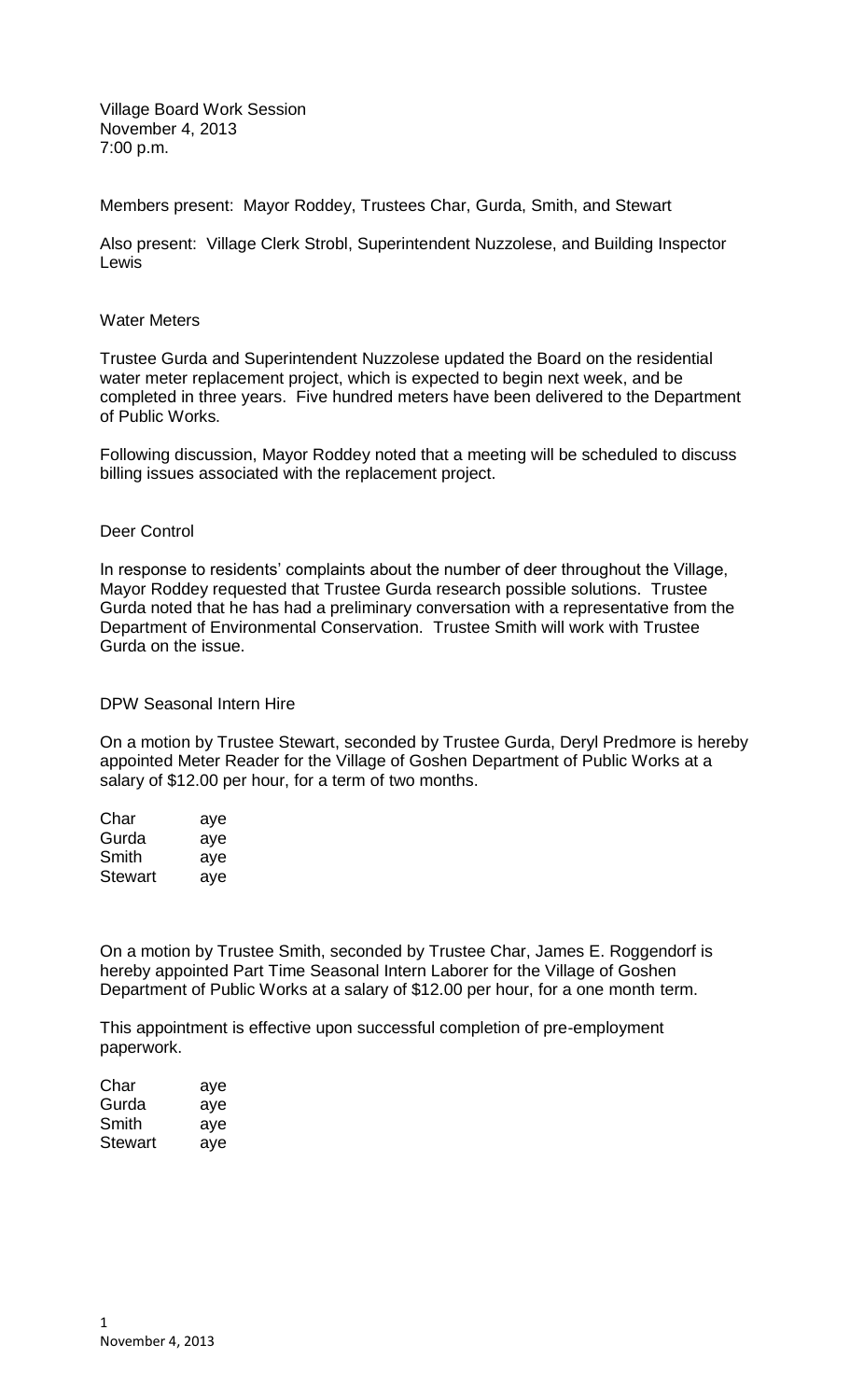Village Board Work Session November 4, 2013 7:00 p.m.

Members present: Mayor Roddey, Trustees Char, Gurda, Smith, and Stewart

Also present: Village Clerk Strobl, Superintendent Nuzzolese, and Building Inspector Lewis

## Water Meters

Trustee Gurda and Superintendent Nuzzolese updated the Board on the residential water meter replacement project, which is expected to begin next week, and be completed in three years. Five hundred meters have been delivered to the Department of Public Works.

Following discussion, Mayor Roddey noted that a meeting will be scheduled to discuss billing issues associated with the replacement project.

## Deer Control

In response to residents' complaints about the number of deer throughout the Village, Mayor Roddey requested that Trustee Gurda research possible solutions. Trustee Gurda noted that he has had a preliminary conversation with a representative from the Department of Environmental Conservation. Trustee Smith will work with Trustee Gurda on the issue.

DPW Seasonal Intern Hire

On a motion by Trustee Stewart, seconded by Trustee Gurda, Deryl Predmore is hereby appointed Meter Reader for the Village of Goshen Department of Public Works at a salary of \$12.00 per hour, for a term of two months.

| Char           | aye |
|----------------|-----|
| Gurda          | aye |
| Smith          | aye |
| <b>Stewart</b> | aye |

On a motion by Trustee Smith, seconded by Trustee Char, James E. Roggendorf is hereby appointed Part Time Seasonal Intern Laborer for the Village of Goshen Department of Public Works at a salary of \$12.00 per hour, for a one month term.

This appointment is effective upon successful completion of pre-employment paperwork.

| Char    | aye |
|---------|-----|
| Gurda   | aye |
| Smith   | aye |
| Stewart | aye |